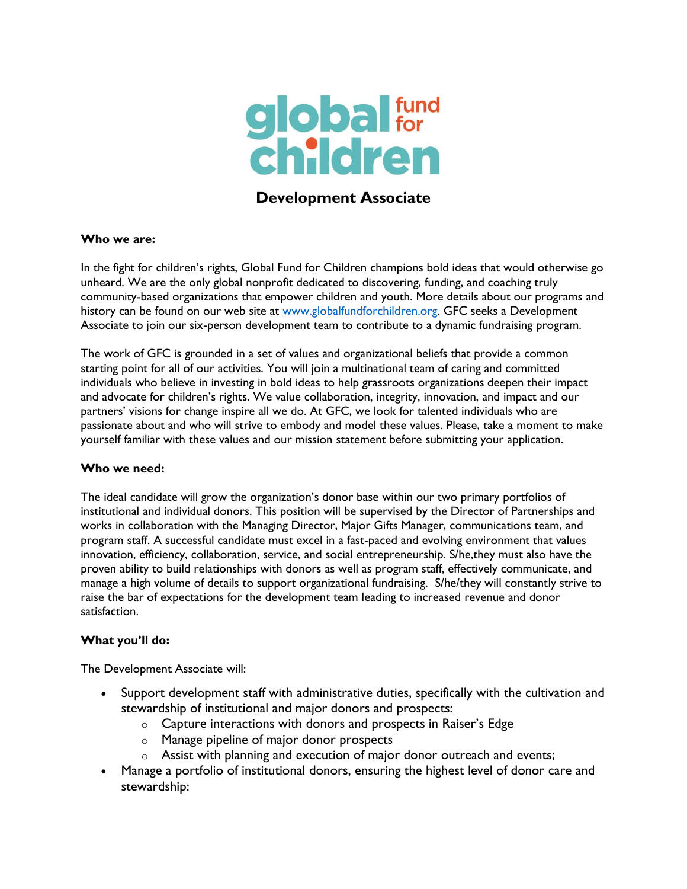

# **Development Associate**

### **Who we are:**

In the fight for children's rights, Global Fund for Children champions bold ideas that would otherwise go unheard. We are the only global nonprofit dedicated to discovering, funding, and coaching truly community-based organizations that empower children and youth. More details about our programs and history can be found on our web site at [www.globalfundforchildren.org.](http://www.globalfundforchildren.org/) GFC seeks a Development Associate to join our six-person development team to contribute to a dynamic fundraising program.

The work of GFC is grounded in a set of values and organizational beliefs that provide a common starting point for all of our activities. You will join a multinational team of caring and committed individuals who believe in investing in bold ideas to help grassroots organizations deepen their impact and advocate for children's rights. We value collaboration, integrity, innovation, and impact and our partners' visions for change inspire all we do. At GFC, we look for talented individuals who are passionate about and who will strive to embody and model these values. Please, take a moment to make yourself familiar with these values and our mission statement before submitting your application.

#### **Who we need:**

The ideal candidate will grow the organization's donor base within our two primary portfolios of institutional and individual donors. This position will be supervised by the Director of Partnerships and works in collaboration with the Managing Director, Major Gifts Manager, communications team, and program staff. A successful candidate must excel in a fast-paced and evolving environment that values innovation, efficiency, collaboration, service, and social entrepreneurship. S/he,they must also have the proven ability to build relationships with donors as well as program staff, effectively communicate, and manage a high volume of details to support organizational fundraising. S/he/they will constantly strive to raise the bar of expectations for the development team leading to increased revenue and donor satisfaction.

### **What you'll do:**

The Development Associate will:

- Support development staff with administrative duties, specifically with the cultivation and stewardship of institutional and major donors and prospects:
	- $\circ$  Capture interactions with donors and prospects in Raiser's Edge
	- o Manage pipeline of major donor prospects
	- $\circ$  Assist with planning and execution of major donor outreach and events;
- Manage a portfolio of institutional donors, ensuring the highest level of donor care and stewardship: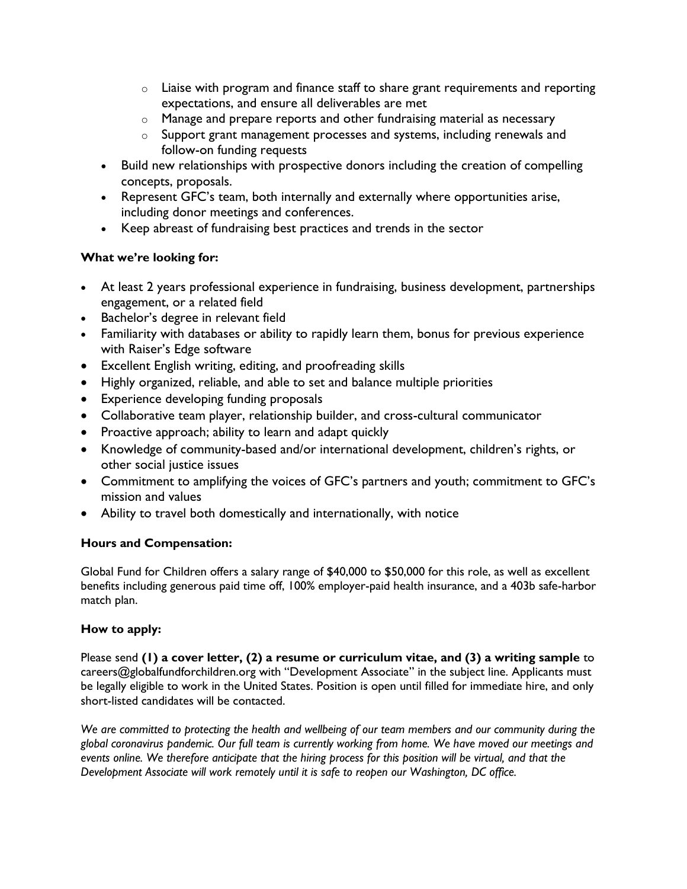- $\circ$  Liaise with program and finance staff to share grant requirements and reporting expectations, and ensure all deliverables are met
- o Manage and prepare reports and other fundraising material as necessary
- o Support grant management processes and systems, including renewals and follow-on funding requests
- Build new relationships with prospective donors including the creation of compelling concepts, proposals.
- Represent GFC's team, both internally and externally where opportunities arise, including donor meetings and conferences.
- Keep abreast of fundraising best practices and trends in the sector

# **What we're looking for:**

- At least 2 years professional experience in fundraising, business development, partnerships engagement, or a related field
- Bachelor's degree in relevant field
- Familiarity with databases or ability to rapidly learn them, bonus for previous experience with Raiser's Edge software
- Excellent English writing, editing, and proofreading skills
- Highly organized, reliable, and able to set and balance multiple priorities
- Experience developing funding proposals
- Collaborative team player, relationship builder, and cross-cultural communicator
- Proactive approach; ability to learn and adapt quickly
- Knowledge of community-based and/or international development, children's rights, or other social justice issues
- Commitment to amplifying the voices of GFC's partners and youth; commitment to GFC's mission and values
- Ability to travel both domestically and internationally, with notice

# **Hours and Compensation:**

Global Fund for Children offers a salary range of \$40,000 to \$50,000 for this role, as well as excellent benefits including generous paid time off, 100% employer-paid health insurance, and a 403b safe-harbor match plan.

# **How to apply:**

Please send **(1) a cover letter, (2) a resume or curriculum vitae, and (3) a writing sample** to careers@globalfundforchildren.org with "Development Associate" in the subject line. Applicants must be legally eligible to work in the United States. Position is open until filled for immediate hire, and only short-listed candidates will be contacted.

*We are committed to protecting the health and wellbeing of our team members and our community during the global coronavirus pandemic. Our full team is currently working from home. We have moved our meetings and events online. We therefore anticipate that the hiring process for this position will be virtual, and that the Development Associate will work remotely until it is safe to reopen our Washington, DC office.*